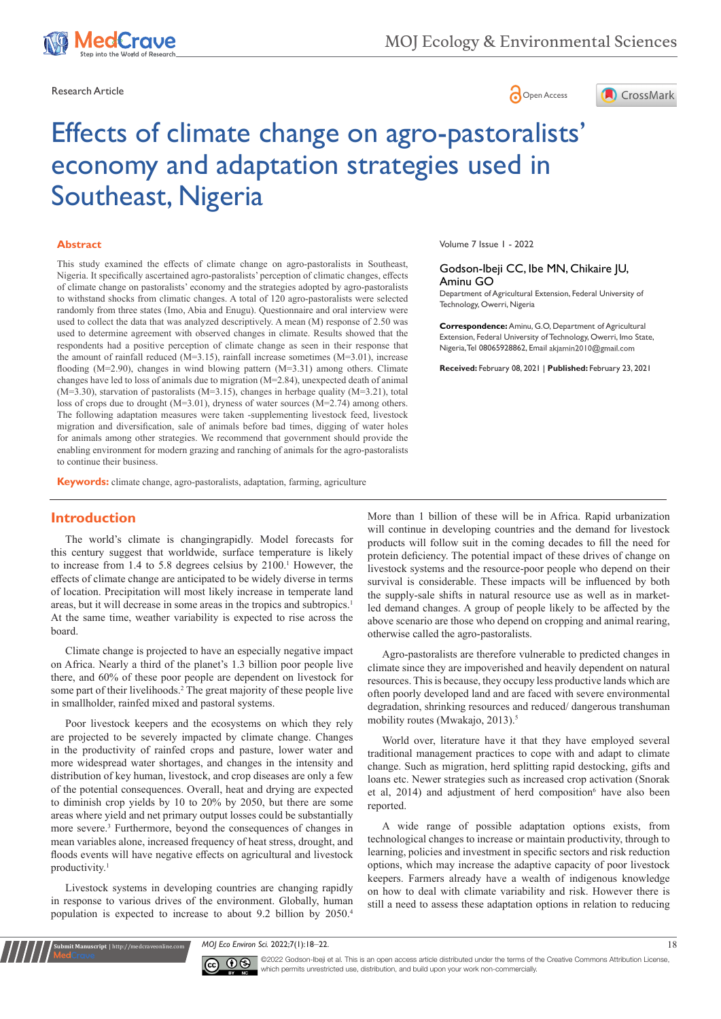

Research Article **Contracts** Contracts and Contracts Contracts Contracts Contracts Contracts Contracts Contracts Contracts Contracts Contracts Contracts Contracts Contracts Contracts Contracts Contracts Contracts Contracts





# Effects of climate change on agro-pastoralists' economy and adaptation strategies used in Southeast, Nigeria

#### **Abstract**

This study examined the effects of climate change on agro-pastoralists in Southeast, Nigeria. It specifically ascertained agro-pastoralists' perception of climatic changes, effects of climate change on pastoralists' economy and the strategies adopted by agro-pastoralists to withstand shocks from climatic changes. A total of 120 agro-pastoralists were selected randomly from three states (Imo, Abia and Enugu). Questionnaire and oral interview were used to collect the data that was analyzed descriptively. A mean (M) response of 2.50 was used to determine agreement with observed changes in climate. Results showed that the respondents had a positive perception of climate change as seen in their response that the amount of rainfall reduced (M=3.15), rainfall increase sometimes (M=3.01), increase flooding (M=2.90), changes in wind blowing pattern (M=3.31) among others. Climate changes have led to loss of animals due to migration  $(M=2.84)$ , unexpected death of animal (M=3.30), starvation of pastoralists (M=3.15), changes in herbage quality (M=3.21), total loss of crops due to drought (M=3.01), dryness of water sources (M=2.74) among others. The following adaptation measures were taken -supplementing livestock feed, livestock migration and diversification, sale of animals before bad times, digging of water holes for animals among other strategies. We recommend that government should provide the enabling environment for modern grazing and ranching of animals for the agro-pastoralists to continue their business.

**Keywords:** climate change, agro-pastoralists, adaptation, farming, agriculture

# **Introduction**

The world's climate is changingrapidly. Model forecasts for this century suggest that worldwide, surface temperature is likely to increase from 1.4 to 5.8 degrees celsius by 2100.1 However, the effects of climate change are anticipated to be widely diverse in terms of location. Precipitation will most likely increase in temperate land areas, but it will decrease in some areas in the tropics and subtropics.1 At the same time, weather variability is expected to rise across the board.

Climate change is projected to have an especially negative impact on Africa. Nearly a third of the planet's 1.3 billion poor people live there, and 60% of these poor people are dependent on livestock for some part of their livelihoods.<sup>2</sup> The great majority of these people live in smallholder, rainfed mixed and pastoral systems.

Poor livestock keepers and the ecosystems on which they rely are projected to be severely impacted by climate change. Changes in the productivity of rainfed crops and pasture, lower water and more widespread water shortages, and changes in the intensity and distribution of key human, livestock, and crop diseases are only a few of the potential consequences. Overall, heat and drying are expected to diminish crop yields by 10 to 20% by 2050, but there are some areas where yield and net primary output losses could be substantially more severe.<sup>3</sup> Furthermore, beyond the consequences of changes in mean variables alone, increased frequency of heat stress, drought, and floods events will have negative effects on agricultural and livestock productivity.1

Livestock systems in developing countries are changing rapidly in response to various drives of the environment. Globally, human population is expected to increase to about 9.2 billion by 2050.4

**Submit Manuscript** | http://medcraveonline.com

Volume 7 Issue 1 - 2022

#### Godson-Ibeji CC, Ibe MN, Chikaire JU, Aminu GO

Department of Agricultural Extension, Federal University of Technology, Owerri, Nigeria

**Correspondence:** Aminu, G.O, Department of Agricultural Extension, Federal University of Technology, Owerri, Imo State, Nigeria, Tel 08065928862, Email akjamin2010@gmail.com

**Received:** February 08, 2021 | **Published:** February 23, 2021

More than 1 billion of these will be in Africa. Rapid urbanization will continue in developing countries and the demand for livestock products will follow suit in the coming decades to fill the need for protein deficiency. The potential impact of these drives of change on livestock systems and the resource-poor people who depend on their survival is considerable. These impacts will be influenced by both the supply-sale shifts in natural resource use as well as in marketled demand changes. A group of people likely to be affected by the above scenario are those who depend on cropping and animal rearing, otherwise called the agro-pastoralists.

Agro-pastoralists are therefore vulnerable to predicted changes in climate since they are impoverished and heavily dependent on natural resources. This is because, they occupy less productive lands which are often poorly developed land and are faced with severe environmental degradation, shrinking resources and reduced/ dangerous transhuman mobility routes (Mwakajo, 2013).<sup>5</sup>

World over, literature have it that they have employed several traditional management practices to cope with and adapt to climate change. Such as migration, herd splitting rapid destocking, gifts and loans etc. Newer strategies such as increased crop activation (Snorak et al, 2014) and adjustment of herd composition<sup>6</sup> have also been reported.

A wide range of possible adaptation options exists, from technological changes to increase or maintain productivity, through to learning, policies and investment in specific sectors and risk reduction options, which may increase the adaptive capacity of poor livestock keepers. Farmers already have a wealth of indigenous knowledge on how to deal with climate variability and risk. However there is still a need to assess these adaptation options in relation to reducing

*MOJ Eco Environ Sci.* 2022;7(1):18‒22. 18



©2022 Godson-Ibeji et al. This is an open access article distributed under the terms of the [Creative Commons Attribution License](https://creativecommons.org/licenses/by-nc/4.0/), which permits unrestricted use, distribution, and build upon your work non-commercially.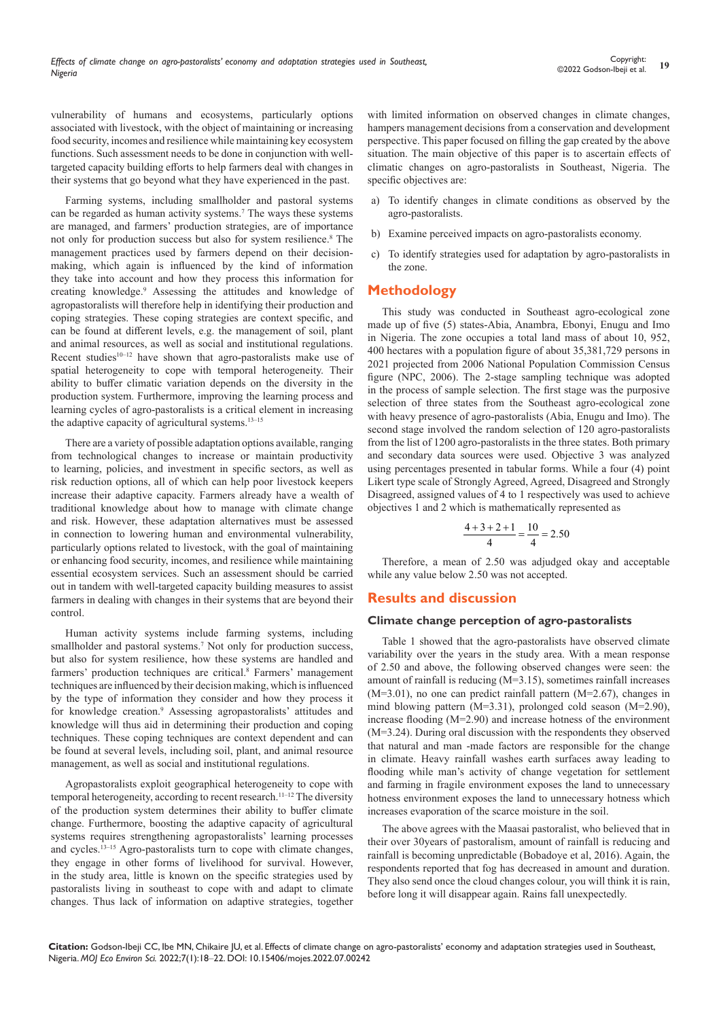vulnerability of humans and ecosystems, particularly options associated with livestock, with the object of maintaining or increasing food security, incomes and resilience while maintaining key ecosystem functions. Such assessment needs to be done in conjunction with welltargeted capacity building efforts to help farmers deal with changes in their systems that go beyond what they have experienced in the past.

Farming systems, including smallholder and pastoral systems can be regarded as human activity systems.<sup>7</sup> The ways these systems are managed, and farmers' production strategies, are of importance not only for production success but also for system resilience.<sup>8</sup> The management practices used by farmers depend on their decisionmaking, which again is influenced by the kind of information they take into account and how they process this information for creating knowledge.9 Assessing the attitudes and knowledge of agropastoralists will therefore help in identifying their production and coping strategies. These coping strategies are context specific, and can be found at different levels, e.g. the management of soil, plant and animal resources, as well as social and institutional regulations. Recent studies<sup>10-12</sup> have shown that agro-pastoralists make use of spatial heterogeneity to cope with temporal heterogeneity. Their ability to buffer climatic variation depends on the diversity in the production system. Furthermore, improving the learning process and learning cycles of agro-pastoralists is a critical element in increasing the adaptive capacity of agricultural systems.<sup>13-15</sup>

There are a variety of possible adaptation options available, ranging from technological changes to increase or maintain productivity to learning, policies, and investment in specific sectors, as well as risk reduction options, all of which can help poor livestock keepers increase their adaptive capacity. Farmers already have a wealth of traditional knowledge about how to manage with climate change and risk. However, these adaptation alternatives must be assessed in connection to lowering human and environmental vulnerability, particularly options related to livestock, with the goal of maintaining or enhancing food security, incomes, and resilience while maintaining essential ecosystem services. Such an assessment should be carried out in tandem with well-targeted capacity building measures to assist farmers in dealing with changes in their systems that are beyond their control.

Human activity systems include farming systems, including smallholder and pastoral systems.<sup>7</sup> Not only for production success, but also for system resilience, how these systems are handled and farmers' production techniques are critical.<sup>8</sup> Farmers' management techniques are influenced by their decision making, which is influenced by the type of information they consider and how they process it for knowledge creation.<sup>9</sup> Assessing agropastoralists' attitudes and knowledge will thus aid in determining their production and coping techniques. These coping techniques are context dependent and can be found at several levels, including soil, plant, and animal resource management, as well as social and institutional regulations.

Agropastoralists exploit geographical heterogeneity to cope with temporal heterogeneity, according to recent research.11–12 The diversity of the production system determines their ability to buffer climate change. Furthermore, boosting the adaptive capacity of agricultural systems requires strengthening agropastoralists' learning processes and cycles.<sup>13–15</sup> Agro-pastoralists turn to cope with climate changes, they engage in other forms of livelihood for survival. However, in the study area, little is known on the specific strategies used by pastoralists living in southeast to cope with and adapt to climate changes. Thus lack of information on adaptive strategies, together

with limited information on observed changes in climate changes, hampers management decisions from a conservation and development perspective. This paper focused on filling the gap created by the above situation. The main objective of this paper is to ascertain effects of climatic changes on agro-pastoralists in Southeast, Nigeria. The specific objectives are:

- a) To identify changes in climate conditions as observed by the agro-pastoralists.
- b) Examine perceived impacts on agro-pastoralists economy.
- c) To identify strategies used for adaptation by agro-pastoralists in the zone.

# **Methodology**

This study was conducted in Southeast agro-ecological zone made up of five (5) states-Abia, Anambra, Ebonyi, Enugu and Imo in Nigeria. The zone occupies a total land mass of about 10, 952, 400 hectares with a population figure of about 35,381,729 persons in 2021 projected from 2006 National Population Commission Census figure (NPC, 2006). The 2-stage sampling technique was adopted in the process of sample selection. The first stage was the purposive selection of three states from the Southeast agro-ecological zone with heavy presence of agro-pastoralists (Abia, Enugu and Imo). The second stage involved the random selection of 120 agro-pastoralists from the list of 1200 agro-pastoralists in the three states. Both primary and secondary data sources were used. Objective 3 was analyzed using percentages presented in tabular forms. While a four (4) point Likert type scale of Strongly Agreed, Agreed, Disagreed and Strongly Disagreed, assigned values of 4 to 1 respectively was used to achieve objectives 1 and 2 which is mathematically represented as

$$
\frac{4+3+2+1}{4} = \frac{10}{4} = 2.50
$$

Therefore, a mean of 2.50 was adjudged okay and acceptable while any value below 2.50 was not accepted.

#### **Results and discussion**

#### **Climate change perception of agro-pastoralists**

Table 1 showed that the agro-pastoralists have observed climate variability over the years in the study area. With a mean response of 2.50 and above, the following observed changes were seen: the amount of rainfall is reducing (M=3.15), sometimes rainfall increases (M=3.01), no one can predict rainfall pattern (M=2.67), changes in mind blowing pattern (M=3.31), prolonged cold season (M=2.90), increase flooding (M=2.90) and increase hotness of the environment (M=3.24). During oral discussion with the respondents they observed that natural and man -made factors are responsible for the change in climate. Heavy rainfall washes earth surfaces away leading to flooding while man's activity of change vegetation for settlement and farming in fragile environment exposes the land to unnecessary hotness environment exposes the land to unnecessary hotness which increases evaporation of the scarce moisture in the soil.

The above agrees with the Maasai pastoralist, who believed that in their over 30years of pastoralism, amount of rainfall is reducing and rainfall is becoming unpredictable (Bobadoye et al, 2016). Again, the respondents reported that fog has decreased in amount and duration. They also send once the cloud changes colour, you will think it is rain, before long it will disappear again. Rains fall unexpectedly.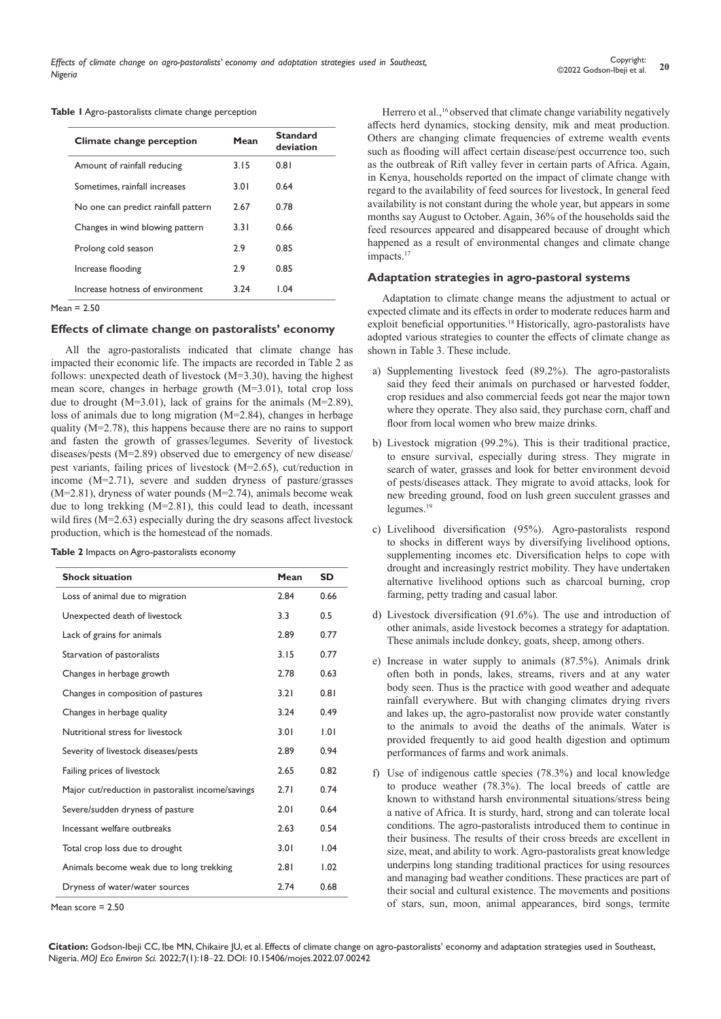**Table 1** Agro-pastoralists climate change perception

| Climate change perception           | Mean | Standard<br>deviation |
|-------------------------------------|------|-----------------------|
| Amount of rainfall reducing         | 3.15 | 0.81                  |
| Sometimes, rainfall increases       | 3.01 | 0.64                  |
| No one can predict rainfall pattern | 2.67 | 0.78                  |
| Changes in wind blowing pattern     | 3.31 | 0.66                  |
| Prolong cold season                 | 2.9  | 0.85                  |
| Increase flooding                   | 2.9  | 0.85                  |
| Increase hotness of environment     | 3.24 | 1.04                  |
|                                     |      |                       |

Mean = 2.50

#### **Effects of climate change on pastoralists' economy**

All the agro-pastoralists indicated that climate change has impacted their economic life. The impacts are recorded in Table 2 as follows: unexpected death of livestock (M=3.30), having the highest mean score, changes in herbage growth (M=3.01), total crop loss due to drought (M=3.01), lack of grains for the animals (M=2.89), loss of animals due to long migration (M=2.84), changes in herbage quality (M=2.78), this happens because there are no rains to support and fasten the growth of grasses/legumes. Severity of livestock diseases/pests (M=2.89) observed due to emergency of new disease/ pest variants, failing prices of livestock (M=2.65), cut/reduction in income (M=2.71), severe and sudden dryness of pasture/grasses (M=2.81), dryness of water pounds (M=2.74), animals become weak due to long trekking (M=2.81), this could lead to death, incessant wild fires (M=2.63) especially during the dry seasons affect livestock

| <b>Shock situation</b><br>Mean                                                                                                                                                                                                                                                             | SD |
|--------------------------------------------------------------------------------------------------------------------------------------------------------------------------------------------------------------------------------------------------------------------------------------------|----|
| <b>Table 2</b> Impacts on Agro-pastoralists economy                                                                                                                                                                                                                                        |    |
| production, which is the homestead of the nomads.                                                                                                                                                                                                                                          |    |
| when the $\frac{1}{1}$ and $\frac{1}{2}$ and $\frac{1}{2}$ and $\frac{1}{2}$ and $\frac{1}{2}$ and $\frac{1}{2}$ and $\frac{1}{2}$ and $\frac{1}{2}$ and $\frac{1}{2}$ and $\frac{1}{2}$ and $\frac{1}{2}$ and $\frac{1}{2}$ and $\frac{1}{2}$ and $\frac{1}{2}$ and $\frac{1}{2}$ and $\$ |    |

| <b>Shock situation</b>                            | Mean | SD   |
|---------------------------------------------------|------|------|
| Loss of animal due to migration                   | 2.84 | 0.66 |
| Unexpected death of livestock                     | 3.3  | 0.5  |
| Lack of grains for animals                        | 2.89 | 0.77 |
| Starvation of pastoralists                        | 3.15 | 0.77 |
| Changes in herbage growth                         | 2.78 | 0.63 |
| Changes in composition of pastures                | 3.21 | 0.81 |
| Changes in herbage quality                        | 3.24 | 0.49 |
| Nutritional stress for livestock                  | 3.01 | 1.01 |
| Severity of livestock diseases/pests              | 2.89 | 0.94 |
| Failing prices of livestock                       | 2.65 | 0.82 |
| Major cut/reduction in pastoralist income/savings | 2.71 | 0.74 |
| Severe/sudden dryness of pasture                  | 2.01 | 0.64 |
| Incessant welfare outbreaks                       | 2.63 | 0.54 |
| Total crop loss due to drought                    | 3.01 | 1.04 |
| Animals become weak due to long trekking          | 2.81 | 1.02 |
| Dryness of water/water sources                    | 2.74 | 0.68 |
|                                                   |      |      |

Mean score = 2.50

Herrero et al.,<sup>16</sup> observed that climate change variability negatively affects herd dynamics, stocking density, mik and meat production. Others are changing climate frequencies of extreme wealth events such as flooding will affect certain disease/pest occurrence too, such as the outbreak of Rift valley fever in certain parts of Africa. Again, in Kenya, households reported on the impact of climate change with regard to the availability of feed sources for livestock, In general feed availability is not constant during the whole year, but appears in some months say August to October. Again, 36% of the households said the feed resources appeared and disappeared because of drought which happened as a result of environmental changes and climate change impacts.<sup>17</sup>

#### **Adaptation strategies in agro-pastoral systems**

Adaptation to climate change means the adjustment to actual or expected climate and its effects in order to moderate reduces harm and exploit beneficial opportunities.18 Historically, agro-pastoralists have adopted various strategies to counter the effects of climate change as shown in Table 3. These include.

- a) Supplementing livestock feed (89.2%). The agro-pastoralists said they feed their animals on purchased or harvested fodder, crop residues and also commercial feeds got near the major town where they operate. They also said, they purchase corn, chaff and floor from local women who brew maize drinks.
- b) Livestock migration (99.2%). This is their traditional practice, to ensure survival, especially during stress. They migrate in search of water, grasses and look for better environment devoid of pests/diseases attack. They migrate to avoid attacks, look for new breeding ground, food on lush green succulent grasses and legumes.<sup>19</sup>
- c) Livelihood diversification (95%). Agro-pastoralists respond to shocks in different ways by diversifying livelihood options, supplementing incomes etc. Diversification helps to cope with drought and increasingly restrict mobility. They have undertaken alternative livelihood options such as charcoal burning, crop farming, petty trading and casual labor.
- d) Livestock diversification (91.6%). The use and introduction of other animals, aside livestock becomes a strategy for adaptation. These animals include donkey, goats, sheep, among others.
- e) Increase in water supply to animals (87.5%). Animals drink often both in ponds, lakes, streams, rivers and at any water body seen. Thus is the practice with good weather and adequate rainfall everywhere. But with changing climates drying rivers and lakes up, the agro-pastoralist now provide water constantly to the animals to avoid the deaths of the animals. Water is provided frequently to aid good health digestion and optimum performances of farms and work animals.
- f) Use of indigenous cattle species (78.3%) and local knowledge to produce weather (78.3%). The local breeds of cattle are known to withstand harsh environmental situations/stress being a native of Africa. It is sturdy, hard, strong and can tolerate local conditions. The agro-pastoralists introduced them to continue in their business. The results of their cross breeds are excellent in size, meat, and ability to work. Agro-pastoralists great knowledge underpins long standing traditional practices for using resources and managing bad weather conditions. These practices are part of their social and cultural existence. The movements and positions of stars, sun, moon, animal appearances, bird songs, termite

**Citation:** Godson-Ibeji CC, Ibe MN, Chikaire JU, et al. Effects of climate change on agro-pastoralists' economy and adaptation strategies used in Southeast, Nigeria. *MOJ Eco Environ Sci.* 2022;7(1):18‒22. DOI: [10.15406/mojes.2022.07.00242](https://doi.org/10.15406/mojes.2022.07.00242)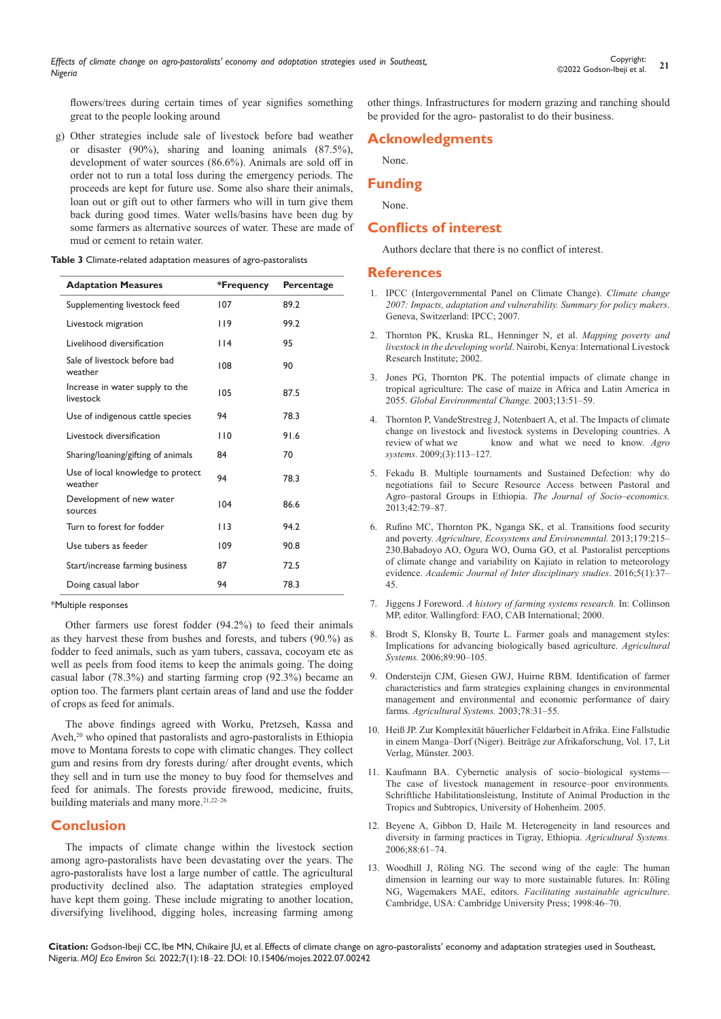flowers/trees during certain times of year signifies something great to the people looking around

g) Other strategies include sale of livestock before bad weather or disaster (90%), sharing and loaning animals (87.5%), development of water sources (86.6%). Animals are sold off in order not to run a total loss during the emergency periods. The proceeds are kept for future use. Some also share their animals, loan out or gift out to other farmers who will in turn give them back during good times. Water wells/basins have been dug by some farmers as alternative sources of water. These are made of mud or cement to retain water.

**Table 3** Climate-related adaptation measures of agro-pastoralists

| <b>Adaptation Measures</b>                   | *Frequency | Percentage |
|----------------------------------------------|------------|------------|
| Supplementing livestock feed                 | 107        | 89.2       |
| Livestock migration                          | 119        | 99.2       |
| Livelihood diversification                   | $ $   4    | 95         |
| Sale of livestock before bad<br>weather      | 108        | 90         |
| Increase in water supply to the<br>livestock | 105        | 87.5       |
| Use of indigenous cattle species             | 94         | 78.3       |
| Livestock diversification                    | 110        | 91.6       |
| Sharing/loaning/gifting of animals           | 84         | 70         |
| Use of local knowledge to protect<br>weather | 94         | 78.3       |
| Development of new water<br>sources          | 104        | 86.6       |
| Turn to forest for fodder                    | 113        | 94.2       |
| Use tubers as feeder                         | 109        | 90.8       |
| Start/increase farming business              | 87         | 72.5       |
| Doing casual labor                           | 94         | 78.3       |

\*Multiple responses

Other farmers use forest fodder (94.2%) to feed their animals as they harvest these from bushes and forests, and tubers (90.%) as fodder to feed animals, such as yam tubers, cassava, cocoyam etc as well as peels from food items to keep the animals going. The doing casual labor (78.3%) and starting farming crop (92.3%) became an option too. The farmers plant certain areas of land and use the fodder of crops as feed for animals.

The above findings agreed with Worku, Pretzseh, Kassa and Aveh,<sup>20</sup> who opined that pastoralists and agro-pastoralists in Ethiopia move to Montana forests to cope with climatic changes. They collect gum and resins from dry forests during/ after drought events, which they sell and in turn use the money to buy food for themselves and feed for animals. The forests provide firewood, medicine, fruits, building materials and many more.<sup>21,22-26</sup>

# **Conclusion**

The impacts of climate change within the livestock section among agro-pastoralists have been devastating over the years. The agro-pastoralists have lost a large number of cattle. The agricultural productivity declined also. The adaptation strategies employed have kept them going. These include migrating to another location, diversifying livelihood, digging holes, increasing farming among other things. Infrastructures for modern grazing and ranching should be provided for the agro- pastoralist to do their business.

# **Acknowledgments**

None.

#### **Funding**

None.

# **Conflicts of interest**

Authors declare that there is no conflict of interest.

#### **References**

- 1. [IPCC \(Intergovernmental Panel on Climate Change\).](https://www.ipcc.ch/site/assets/uploads/2018/03/ar4_wg2_full_report.pdf) *Climate change [2007: Impacts, adaptation and vulnerability. Summary for policy makers](https://www.ipcc.ch/site/assets/uploads/2018/03/ar4_wg2_full_report.pdf)*. [Geneva, Switzerland: IPCC; 2007.](https://www.ipcc.ch/site/assets/uploads/2018/03/ar4_wg2_full_report.pdf)
- 2. [Thornton PK, Kruska RL, Henninger N, et al.](https://cgspace.cgiar.org/handle/10568/915) *Mapping poverty and livestock in the developing world*[. Nairobi, Kenya: International Livestock](https://cgspace.cgiar.org/handle/10568/915)  [Research Institute; 2002.](https://cgspace.cgiar.org/handle/10568/915)
- 3. [Jones PG, Thornton PK. The potential impacts of climate change in](https://www.sciencedirect.com/science/article/abs/pii/S0959378002000900)  [tropical agriculture: The case of maize in Africa and Latin America in](https://www.sciencedirect.com/science/article/abs/pii/S0959378002000900)  2055. *[Global Environmental Change.](https://www.sciencedirect.com/science/article/abs/pii/S0959378002000900)* 2003;13:51–59.
- 4. [Thornton P, VandeStrestreg J, Notenbaert A, et al. The Impacts of climate](https://www.sciencedirect.com/science/article/pii/S0308521X09000584)  [change on livestock and livestock systems in Developing countries. A](https://www.sciencedirect.com/science/article/pii/S0308521X09000584) review of what we know and what we need to know. Aero know and what we need to know. Agro *systems.* [2009;\(3\):113–127](https://www.sciencedirect.com/science/article/pii/S0308521X09000584)*.*
- 5. [Fekadu B. Multiple tournaments and Sustained Defection: why do](https://www.sciencedirect.com/science/article/abs/pii/S1053535712001175)  [negotiations fail to Secure Resource Access between Pastoral and](https://www.sciencedirect.com/science/article/abs/pii/S1053535712001175)  [Agro–pastoral Groups in Ethiopia.](https://www.sciencedirect.com/science/article/abs/pii/S1053535712001175) *The Journal of Socio–economics.*  [2013;42:79–87.](https://www.sciencedirect.com/science/article/abs/pii/S1053535712001175)
- 6. Rufino MC, Thornton PK, Nganga SK, et al. Transitions food security and poverty. *Agriculture, Ecosystems and Environemntal.* 2013;179:215– 230.Babadoyo AO, Ogura WO, Ouma GO, et al. Pastoralist perceptions of climate change and variability on Kajiato in relation to meteorology evidence. *Academic Journal of Inter disciplinary studies*. 2016;5(1):37– 45.
- 7. Jiggens J Foreword. *[A history of farming systems research.](https://www.cabi.org/bookshop/book/9780851994055/)* In: Collinson [MP, editor. Wallingford: FAO, CAB International; 2000.](https://www.cabi.org/bookshop/book/9780851994055/)
- 8. [Brodt S, Klonsky B, Tourte L. Farmer goals and management styles:](https://xueshu.baidu.com/usercenter/paper/show?paperid=78ee28a31b680a00ad2e277a19755a97)  [Implications for advancing biologically based agriculture.](https://xueshu.baidu.com/usercenter/paper/show?paperid=78ee28a31b680a00ad2e277a19755a97) *Agricultural Systems.* [2006;89:90–105.](https://xueshu.baidu.com/usercenter/paper/show?paperid=78ee28a31b680a00ad2e277a19755a97)
- 9. [Ondersteijn CJM, Giesen GWJ, Huirne RBM. Identification of farmer](https://www.sciencedirect.com/science/article/abs/pii/S0308521X03000313)  [characteristics and farm strategies explaining changes in environmental](https://www.sciencedirect.com/science/article/abs/pii/S0308521X03000313)  [management and environmental and economic performance of dairy](https://www.sciencedirect.com/science/article/abs/pii/S0308521X03000313)  farms. *[Agricultural Systems.](https://www.sciencedirect.com/science/article/abs/pii/S0308521X03000313)* 2003;78:31–55.
- 10. Heiß JP. Zur Komplexität bäuerlicher Feldarbeit in Afrika. Eine Fallstudie in einem Manga–Dorf (Niger). Beiträge zur Afrikaforschung, Vol. 17, Lit Verlag, Münster. 2003.
- 11. [Kaufmann BA. Cybernetic analysis of socio–biological systems—](https://www.gettextbooks.com/isbn/9783823615156/) [The case of livestock management in resource–poor environments](https://www.gettextbooks.com/isbn/9783823615156/)*.* [Schriftliche Habilitationsleistung, Institute of Animal Production in the](https://www.gettextbooks.com/isbn/9783823615156/)  [Tropics and Subtropics, University of Hohenheim. 2005.](https://www.gettextbooks.com/isbn/9783823615156/)
- 12. [Beyene A, Gibbon D, Haile M. Heterogeneity in land resources and](https://agris.fao.org/agris-search/search.do?recordID=US201301098281)  [diversity in farming practices in Tigray, Ethiopia.](https://agris.fao.org/agris-search/search.do?recordID=US201301098281) *Agricultural Systems.* [2006;88:61–74.](https://agris.fao.org/agris-search/search.do?recordID=US201301098281)
- 13. [Woodhill J, Röling NG. The second wing of the eagle: The human](https://agris.fao.org/agris-search/search.do?recordID=NL2012050062)  [dimension in learning our way to more sustainable futures. In: Röling](https://agris.fao.org/agris-search/search.do?recordID=NL2012050062)  NG, Wagemakers MAE, editors. *[Facilitating sustainable agriculture](https://agris.fao.org/agris-search/search.do?recordID=NL2012050062)*. [Cambridge, USA: Cambridge University Press; 1998:46–70.](https://agris.fao.org/agris-search/search.do?recordID=NL2012050062)

**Citation:** Godson-Ibeji CC, Ibe MN, Chikaire JU, et al. Effects of climate change on agro-pastoralists' economy and adaptation strategies used in Southeast, Nigeria. *MOJ Eco Environ Sci.* 2022;7(1):18‒22. DOI: [10.15406/mojes.2022.07.00242](https://doi.org/10.15406/mojes.2022.07.00242)